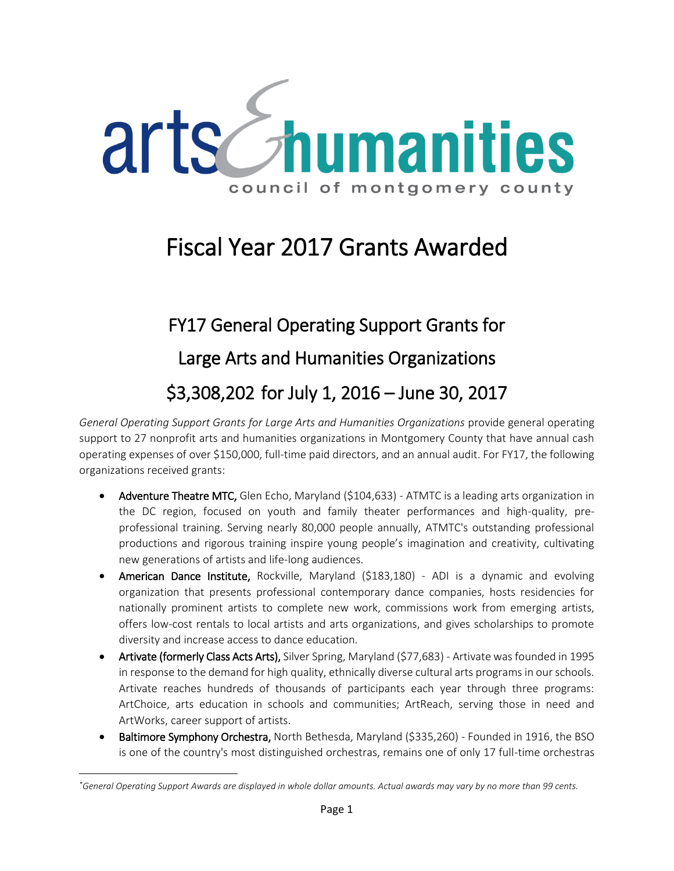

## Fiscal Year 2017 Grants Awarded

# FY17 General Operating Support Grants for Large Arts and Humanities Organizations \$3,308,202 for July 1, 2016 – June 30, 2017

*General Operating Support Grants for Large Arts and Humanities Organizations* provide general operating support to 27 nonprofit arts and humanities organizations in Montgomery County that have annual cash operating expenses of over \$150,000, full-time paid directors, and an annual audit. For FY17, the following organizations received grants:

- Adventure Theatre MTC, Glen Echo, Maryland (\$104,633) ATMTC is a leading arts organization in the DC region, focused on youth and family theater performances and high-quality, preprofessional training. Serving nearly 80,000 people annually, ATMTC's outstanding professional productions and rigorous training inspire young people's imagination and creativity, cultivating new generations of artists and life-long audiences.
- American Dance Institute, Rockville, Maryland (\$183,180) ADI is a dynamic and evolving organization that presents professional contemporary dance companies, hosts residencies for nationally prominent artists to complete new work, commissions work from emerging artists, offers low-cost rentals to local artists and arts organizations, and gives scholarships to promote diversity and increase access to dance education.
- Artivate (formerly Class Acts Arts), Silver Spring, Maryland (\$77,683) Artivate was founded in 1995 in response to the demand for high quality, ethnically diverse cultural arts programs in our schools. Artivate reaches hundreds of thousands of participants each year through three programs: ArtChoice, arts education in schools and communities; ArtReach, serving those in need and ArtWorks, career support of artists.
- Baltimore Symphony Orchestra, North Bethesda, Maryland (\$335,260) Founded in 1916, the BSO is one of the country's most distinguished orchestras, remains one of only 17 full-time orchestras

 $\overline{a}$ 

*<sup>\*</sup>General Operating Support Awards are displayed in whole dollar amounts. Actual awards may vary by no more than 99 cents.*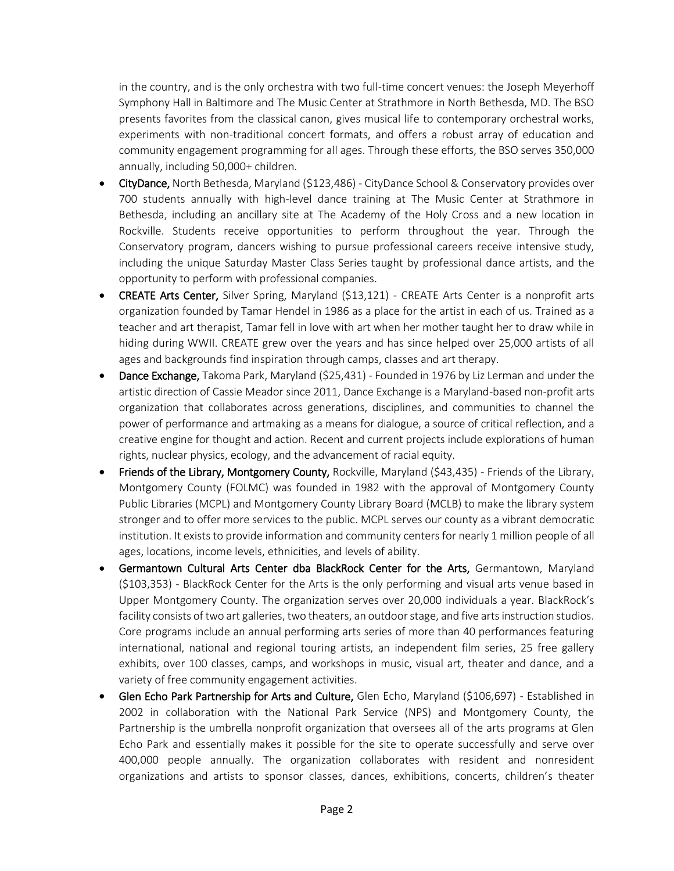in the country, and is the only orchestra with two full-time concert venues: the Joseph Meyerhoff Symphony Hall in Baltimore and The Music Center at Strathmore in North Bethesda, MD. The BSO presents favorites from the classical canon, gives musical life to contemporary orchestral works, experiments with non-traditional concert formats, and offers a robust array of education and community engagement programming for all ages. Through these efforts, the BSO serves 350,000 annually, including 50,000+ children.

- CityDance, North Bethesda, Maryland (\$123,486) CityDance School & Conservatory provides over 700 students annually with high-level dance training at The Music Center at Strathmore in Bethesda, including an ancillary site at The Academy of the Holy Cross and a new location in Rockville. Students receive opportunities to perform throughout the year. Through the Conservatory program, dancers wishing to pursue professional careers receive intensive study, including the unique Saturday Master Class Series taught by professional dance artists, and the opportunity to perform with professional companies.
- CREATE Arts Center, Silver Spring, Maryland (\$13,121) CREATE Arts Center is a nonprofit arts organization founded by Tamar Hendel in 1986 as a place for the artist in each of us. Trained as a teacher and art therapist, Tamar fell in love with art when her mother taught her to draw while in hiding during WWII. CREATE grew over the years and has since helped over 25,000 artists of all ages and backgrounds find inspiration through camps, classes and art therapy.
- Dance Exchange, Takoma Park, Maryland (\$25,431) Founded in 1976 by Liz Lerman and under the artistic direction of Cassie Meador since 2011, Dance Exchange is a Maryland-based non-profit arts organization that collaborates across generations, disciplines, and communities to channel the power of performance and artmaking as a means for dialogue, a source of critical reflection, and a creative engine for thought and action. Recent and current projects include explorations of human rights, nuclear physics, ecology, and the advancement of racial equity.
- Friends of the Library, Montgomery County, Rockville, Maryland (\$43,435) Friends of the Library, Montgomery County (FOLMC) was founded in 1982 with the approval of Montgomery County Public Libraries (MCPL) and Montgomery County Library Board (MCLB) to make the library system stronger and to offer more services to the public. MCPL serves our county as a vibrant democratic institution. It exists to provide information and community centers for nearly 1 million people of all ages, locations, income levels, ethnicities, and levels of ability.
- Germantown Cultural Arts Center dba BlackRock Center for the Arts, Germantown, Maryland (\$103,353) - BlackRock Center for the Arts is the only performing and visual arts venue based in Upper Montgomery County. The organization serves over 20,000 individuals a year. BlackRock's facility consists of two art galleries, two theaters, an outdoor stage, and five arts instruction studios. Core programs include an annual performing arts series of more than 40 performances featuring international, national and regional touring artists, an independent film series, 25 free gallery exhibits, over 100 classes, camps, and workshops in music, visual art, theater and dance, and a variety of free community engagement activities.
- Glen Echo Park Partnership for Arts and Culture, Glen Echo, Maryland (\$106,697) Established in 2002 in collaboration with the National Park Service (NPS) and Montgomery County, the Partnership is the umbrella nonprofit organization that oversees all of the arts programs at Glen Echo Park and essentially makes it possible for the site to operate successfully and serve over 400,000 people annually. The organization collaborates with resident and nonresident organizations and artists to sponsor classes, dances, exhibitions, concerts, children's theater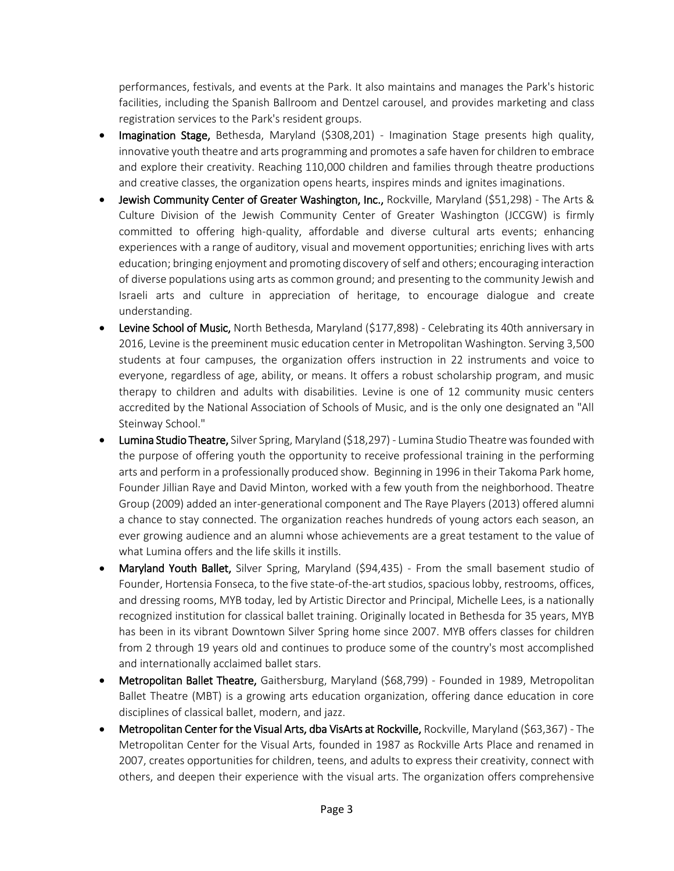performances, festivals, and events at the Park. It also maintains and manages the Park's historic facilities, including the Spanish Ballroom and Dentzel carousel, and provides marketing and class registration services to the Park's resident groups.

- Imagination Stage, Bethesda, Maryland (\$308,201) Imagination Stage presents high quality, innovative youth theatre and arts programming and promotes a safe haven for children to embrace and explore their creativity. Reaching 110,000 children and families through theatre productions and creative classes, the organization opens hearts, inspires minds and ignites imaginations.
- Jewish Community Center of Greater Washington, Inc., Rockville, Maryland (\$51,298) The Arts & Culture Division of the Jewish Community Center of Greater Washington (JCCGW) is firmly committed to offering high-quality, affordable and diverse cultural arts events; enhancing experiences with a range of auditory, visual and movement opportunities; enriching lives with arts education; bringing enjoyment and promoting discovery of self and others; encouraging interaction of diverse populations using arts as common ground; and presenting to the community Jewish and Israeli arts and culture in appreciation of heritage, to encourage dialogue and create understanding.
- Levine School of Music, North Bethesda, Maryland (\$177,898) Celebrating its 40th anniversary in 2016, Levine is the preeminent music education center in Metropolitan Washington. Serving 3,500 students at four campuses, the organization offers instruction in 22 instruments and voice to everyone, regardless of age, ability, or means. It offers a robust scholarship program, and music therapy to children and adults with disabilities. Levine is one of 12 community music centers accredited by the National Association of Schools of Music, and is the only one designated an "All Steinway School."
- Lumina Studio Theatre, Silver Spring, Maryland (\$18,297) Lumina Studio Theatre was founded with the purpose of offering youth the opportunity to receive professional training in the performing arts and perform in a professionally produced show. Beginning in 1996 in their Takoma Park home, Founder Jillian Raye and David Minton, worked with a few youth from the neighborhood. Theatre Group (2009) added an inter-generational component and The Raye Players (2013) offered alumni a chance to stay connected. The organization reaches hundreds of young actors each season, an ever growing audience and an alumni whose achievements are a great testament to the value of what Lumina offers and the life skills it instills.
- Maryland Youth Ballet, Silver Spring, Maryland (\$94,435) From the small basement studio of Founder, Hortensia Fonseca, to the five state-of-the-art studios, spacious lobby, restrooms, offices, and dressing rooms, MYB today, led by Artistic Director and Principal, Michelle Lees, is a nationally recognized institution for classical ballet training. Originally located in Bethesda for 35 years, MYB has been in its vibrant Downtown Silver Spring home since 2007. MYB offers classes for children from 2 through 19 years old and continues to produce some of the country's most accomplished and internationally acclaimed ballet stars.
- Metropolitan Ballet Theatre, Gaithersburg, Maryland (\$68,799) Founded in 1989, Metropolitan Ballet Theatre (MBT) is a growing arts education organization, offering dance education in core disciplines of classical ballet, modern, and jazz.
- Metropolitan Center for the Visual Arts, dba VisArts at Rockville, Rockville, Maryland (\$63,367) The Metropolitan Center for the Visual Arts, founded in 1987 as Rockville Arts Place and renamed in 2007, creates opportunities for children, teens, and adults to express their creativity, connect with others, and deepen their experience with the visual arts. The organization offers comprehensive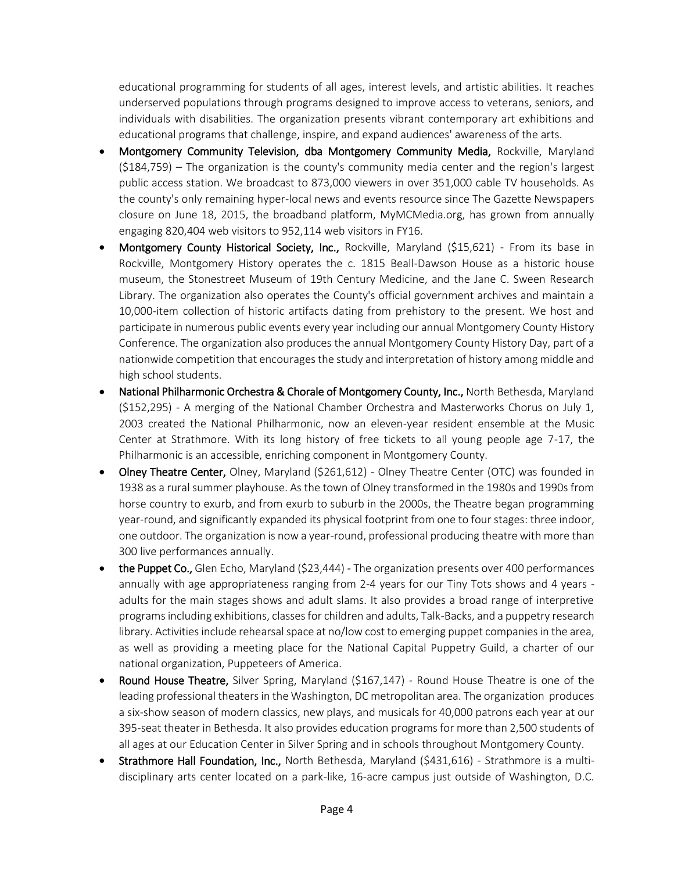educational programming for students of all ages, interest levels, and artistic abilities. It reaches underserved populations through programs designed to improve access to veterans, seniors, and individuals with disabilities. The organization presents vibrant contemporary art exhibitions and educational programs that challenge, inspire, and expand audiences' awareness of the arts.

- Montgomery Community Television, dba Montgomery Community Media, Rockville, Maryland (\$184,759) – The organization is the county's community media center and the region's largest public access station. We broadcast to 873,000 viewers in over 351,000 cable TV households. As the county's only remaining hyper-local news and events resource since The Gazette Newspapers closure on June 18, 2015, the broadband platform, MyMCMedia.org, has grown from annually engaging 820,404 web visitors to 952,114 web visitors in FY16.
- Montgomery County Historical Society, Inc., Rockville, Maryland (\$15,621) From its base in Rockville, Montgomery History operates the c. 1815 Beall-Dawson House as a historic house museum, the Stonestreet Museum of 19th Century Medicine, and the Jane C. Sween Research Library. The organization also operates the County's official government archives and maintain a 10,000-item collection of historic artifacts dating from prehistory to the present. We host and participate in numerous public events every year including our annual Montgomery County History Conference. The organization also produces the annual Montgomery County History Day, part of a nationwide competition that encourages the study and interpretation of history among middle and high school students.
- National Philharmonic Orchestra & Chorale of Montgomery County, Inc., North Bethesda, Maryland (\$152,295) - A merging of the National Chamber Orchestra and Masterworks Chorus on July 1, 2003 created the National Philharmonic, now an eleven-year resident ensemble at the Music Center at Strathmore. With its long history of free tickets to all young people age 7-17, the Philharmonic is an accessible, enriching component in Montgomery County.
- Olney Theatre Center, Olney, Maryland (\$261,612) Olney Theatre Center (OTC) was founded in 1938 as a rural summer playhouse. As the town of Olney transformed in the 1980s and 1990s from horse country to exurb, and from exurb to suburb in the 2000s, the Theatre began programming year-round, and significantly expanded its physical footprint from one to four stages: three indoor, one outdoor. The organization is now a year-round, professional producing theatre with more than 300 live performances annually.
- the Puppet Co., Glen Echo, Maryland (\$23,444) The organization presents over 400 performances annually with age appropriateness ranging from 2-4 years for our Tiny Tots shows and 4 years adults for the main stages shows and adult slams. It also provides a broad range of interpretive programs including exhibitions, classes for children and adults, Talk-Backs, and a puppetry research library. Activities include rehearsal space at no/low cost to emerging puppet companies in the area, as well as providing a meeting place for the National Capital Puppetry Guild, a charter of our national organization, Puppeteers of America.
- Round House Theatre, Silver Spring, Maryland (\$167,147) Round House Theatre is one of the leading professional theaters in the Washington, DC metropolitan area. The organization produces a six-show season of modern classics, new plays, and musicals for 40,000 patrons each year at our 395-seat theater in Bethesda. It also provides education programs for more than 2,500 students of all ages at our Education Center in Silver Spring and in schools throughout Montgomery County.
- Strathmore Hall Foundation, Inc., North Bethesda, Maryland (\$431,616) Strathmore is a multidisciplinary arts center located on a park-like, 16-acre campus just outside of Washington, D.C.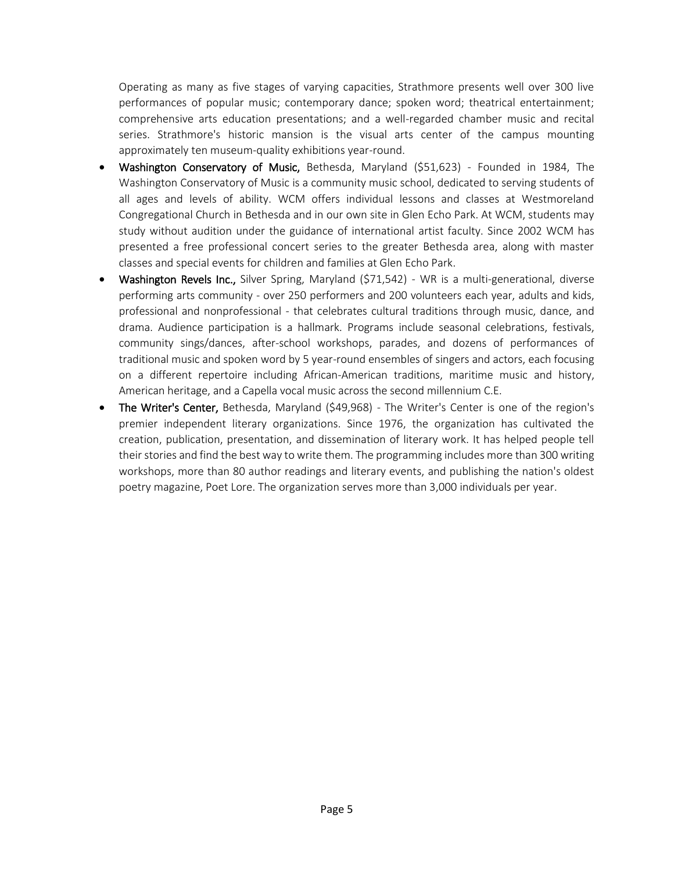Operating as many as five stages of varying capacities, Strathmore presents well over 300 live performances of popular music; contemporary dance; spoken word; theatrical entertainment; comprehensive arts education presentations; and a well-regarded chamber music and recital series. Strathmore's historic mansion is the visual arts center of the campus mounting approximately ten museum-quality exhibitions year-round.

- Washington Conservatory of Music, Bethesda, Maryland (\$51,623) Founded in 1984, The Washington Conservatory of Music is a community music school, dedicated to serving students of all ages and levels of ability. WCM offers individual lessons and classes at Westmoreland Congregational Church in Bethesda and in our own site in Glen Echo Park. At WCM, students may study without audition under the guidance of international artist faculty. Since 2002 WCM has presented a free professional concert series to the greater Bethesda area, along with master classes and special events for children and families at Glen Echo Park.
- Washington Revels Inc., Silver Spring, Maryland (\$71,542) WR is a multi-generational, diverse performing arts community - over 250 performers and 200 volunteers each year, adults and kids, professional and nonprofessional - that celebrates cultural traditions through music, dance, and drama. Audience participation is a hallmark. Programs include seasonal celebrations, festivals, community sings/dances, after-school workshops, parades, and dozens of performances of traditional music and spoken word by 5 year-round ensembles of singers and actors, each focusing on a different repertoire including African-American traditions, maritime music and history, American heritage, and a Capella vocal music across the second millennium C.E.
- The Writer's Center, Bethesda, Maryland (\$49,968) The Writer's Center is one of the region's premier independent literary organizations. Since 1976, the organization has cultivated the creation, publication, presentation, and dissemination of literary work. It has helped people tell their stories and find the best way to write them. The programming includes more than 300 writing workshops, more than 80 author readings and literary events, and publishing the nation's oldest poetry magazine, Poet Lore. The organization serves more than 3,000 individuals per year.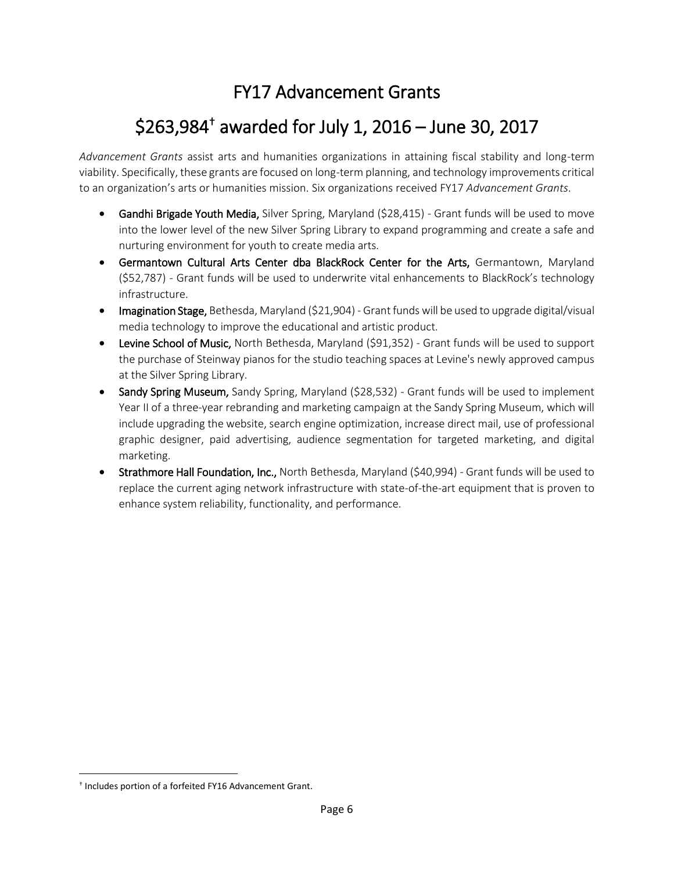#### FY17 Advancement Grants

## \$263,984† awarded for July 1, 2016 – June 30, 2017

*Advancement Grants* assist arts and humanities organizations in attaining fiscal stability and long-term viability. Specifically, these grants are focused on long-term planning, and technology improvements critical to an organization's arts or humanities mission. Six organizations received FY17 *Advancement Grants*.

- Gandhi Brigade Youth Media, Silver Spring, Maryland (\$28,415) Grant funds will be used to move into the lower level of the new Silver Spring Library to expand programming and create a safe and nurturing environment for youth to create media arts.
- Germantown Cultural Arts Center dba BlackRock Center for the Arts, Germantown, Maryland (\$52,787) - Grant funds will be used to underwrite vital enhancements to BlackRock's technology infrastructure.
- Imagination Stage, Bethesda, Maryland (\$21,904) Grant funds will be used to upgrade digital/visual media technology to improve the educational and artistic product.
- Levine School of Music, North Bethesda, Maryland (\$91,352) Grant funds will be used to support the purchase of Steinway pianos for the studio teaching spaces at Levine's newly approved campus at the Silver Spring Library.
- Sandy Spring Museum, Sandy Spring, Maryland (\$28,532) Grant funds will be used to implement Year II of a three-year rebranding and marketing campaign at the Sandy Spring Museum, which will include upgrading the website, search engine optimization, increase direct mail, use of professional graphic designer, paid advertising, audience segmentation for targeted marketing, and digital marketing.
- Strathmore Hall Foundation, Inc., North Bethesda, Maryland (\$40,994) Grant funds will be used to replace the current aging network infrastructure with state-of-the-art equipment that is proven to enhance system reliability, functionality, and performance.

 $\overline{a}$ 

<sup>†</sup> Includes portion of a forfeited FY16 Advancement Grant.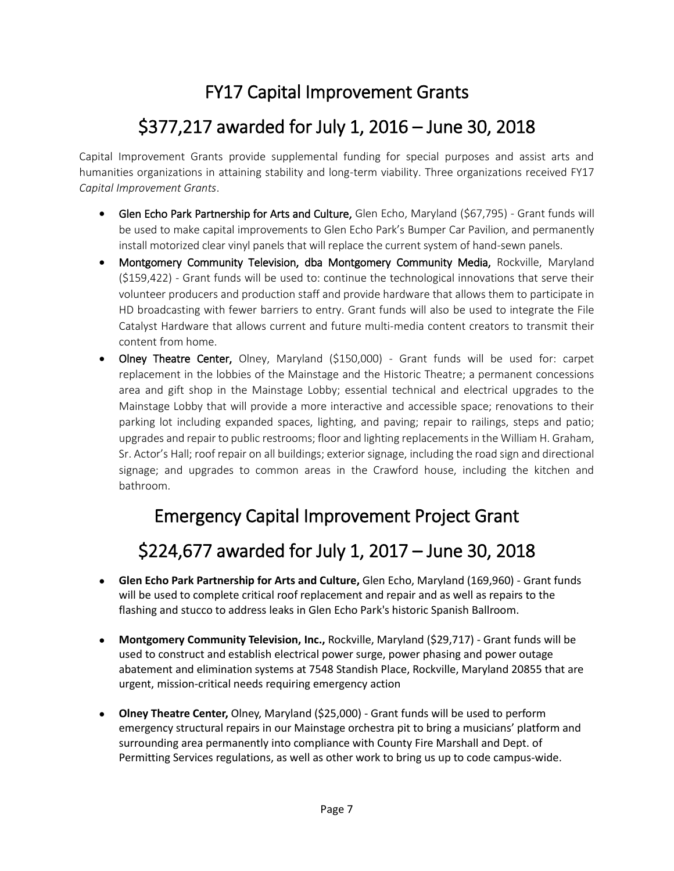#### FY17 Capital Improvement Grants

#### \$377,217 awarded for July 1, 2016 – June 30, 2018

Capital Improvement Grants provide supplemental funding for special purposes and assist arts and humanities organizations in attaining stability and long-term viability. Three organizations received FY17 *Capital Improvement Grants*.

- Glen Echo Park Partnership for Arts and Culture, Glen Echo, Maryland (\$67,795) Grant funds will be used to make capital improvements to Glen Echo Park's Bumper Car Pavilion, and permanently install motorized clear vinyl panels that will replace the current system of hand-sewn panels.
- Montgomery Community Television, dba Montgomery Community Media, Rockville, Maryland (\$159,422) - Grant funds will be used to: continue the technological innovations that serve their volunteer producers and production staff and provide hardware that allows them to participate in HD broadcasting with fewer barriers to entry. Grant funds will also be used to integrate the File Catalyst Hardware that allows current and future multi-media content creators to transmit their content from home.
- Olney Theatre Center, Olney, Maryland (\$150,000) Grant funds will be used for: carpet replacement in the lobbies of the Mainstage and the Historic Theatre; a permanent concessions area and gift shop in the Mainstage Lobby; essential technical and electrical upgrades to the Mainstage Lobby that will provide a more interactive and accessible space; renovations to their parking lot including expanded spaces, lighting, and paving; repair to railings, steps and patio; upgrades and repair to public restrooms; floor and lighting replacements in the William H. Graham, Sr. Actor's Hall; roof repair on all buildings; exterior signage, including the road sign and directional signage; and upgrades to common areas in the Crawford house, including the kitchen and bathroom.

#### Emergency Capital Improvement Project Grant

## \$224,677 awarded for July 1, 2017 – June 30, 2018

- **Glen Echo Park Partnership for Arts and Culture,** Glen Echo, Maryland (169,960) Grant funds will be used to complete critical roof replacement and repair and as well as repairs to the flashing and stucco to address leaks in Glen Echo Park's historic Spanish Ballroom.
- **Montgomery Community Television, Inc.,** Rockville, Maryland (\$29,717) Grant funds will be used to construct and establish electrical power surge, power phasing and power outage abatement and elimination systems at 7548 Standish Place, Rockville, Maryland 20855 that are urgent, mission-critical needs requiring emergency action
- **Olney Theatre Center,** Olney, Maryland (\$25,000) Grant funds will be used to perform emergency structural repairs in our Mainstage orchestra pit to bring a musicians' platform and surrounding area permanently into compliance with County Fire Marshall and Dept. of Permitting Services regulations, as well as other work to bring us up to code campus-wide.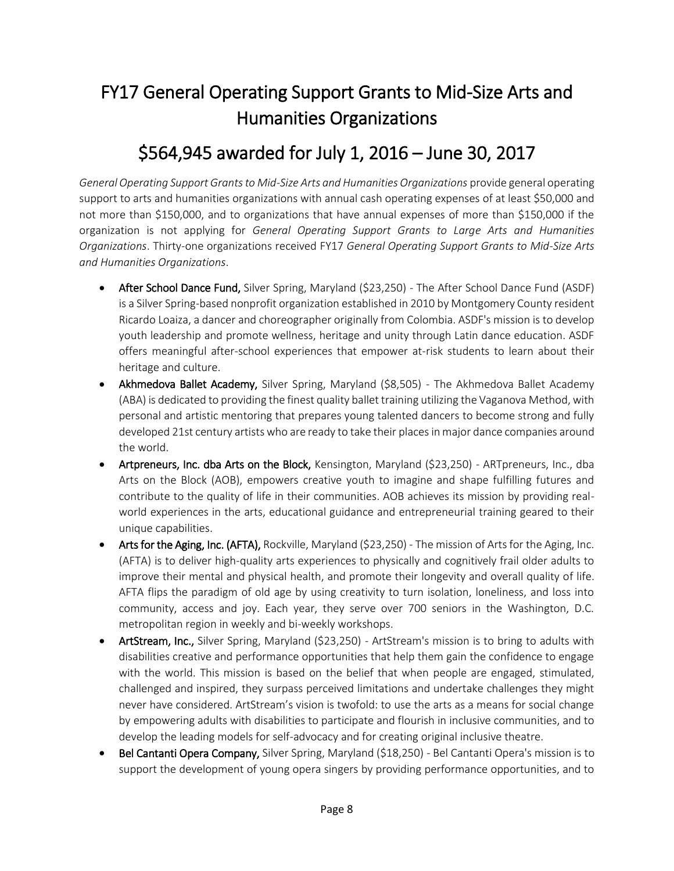## FY17 General Operating Support Grants to Mid-Size Arts and Humanities Organizations

#### \$564,945 awarded for July 1, 2016 – June 30, 2017

*General Operating Support Grants to Mid-Size Arts and Humanities Organizations* provide general operating support to arts and humanities organizations with annual cash operating expenses of at least \$50,000 and not more than \$150,000, and to organizations that have annual expenses of more than \$150,000 if the organization is not applying for *General Operating Support Grants to Large Arts and Humanities Organizations*. Thirty-one organizations received FY17 *General Operating Support Grants to Mid-Size Arts and Humanities Organizations*.

- After School Dance Fund, Silver Spring, Maryland (\$23,250) The After School Dance Fund (ASDF) is a Silver Spring-based nonprofit organization established in 2010 by Montgomery County resident Ricardo Loaiza, a dancer and choreographer originally from Colombia. ASDF's mission is to develop youth leadership and promote wellness, heritage and unity through Latin dance education. ASDF offers meaningful after-school experiences that empower at-risk students to learn about their heritage and culture.
- Akhmedova Ballet Academy, Silver Spring, Maryland (\$8,505) The Akhmedova Ballet Academy (ABA) is dedicated to providing the finest quality ballet training utilizing the Vaganova Method, with personal and artistic mentoring that prepares young talented dancers to become strong and fully developed 21st century artists who are ready to take their places in major dance companies around the world.
- Artpreneurs, Inc. dba Arts on the Block, Kensington, Maryland (\$23,250) ARTpreneurs, Inc., dba Arts on the Block (AOB), empowers creative youth to imagine and shape fulfilling futures and contribute to the quality of life in their communities. AOB achieves its mission by providing realworld experiences in the arts, educational guidance and entrepreneurial training geared to their unique capabilities.
- Arts for the Aging, Inc. (AFTA), Rockville, Maryland (\$23,250) The mission of Arts for the Aging, Inc. (AFTA) is to deliver high-quality arts experiences to physically and cognitively frail older adults to improve their mental and physical health, and promote their longevity and overall quality of life. AFTA flips the paradigm of old age by using creativity to turn isolation, loneliness, and loss into community, access and joy. Each year, they serve over 700 seniors in the Washington, D.C. metropolitan region in weekly and bi-weekly workshops.
- ArtStream, Inc., Silver Spring, Maryland (\$23,250) ArtStream's mission is to bring to adults with disabilities creative and performance opportunities that help them gain the confidence to engage with the world. This mission is based on the belief that when people are engaged, stimulated, challenged and inspired, they surpass perceived limitations and undertake challenges they might never have considered. ArtStream's vision is twofold: to use the arts as a means for social change by empowering adults with disabilities to participate and flourish in inclusive communities, and to develop the leading models for self-advocacy and for creating original inclusive theatre.
- Bel Cantanti Opera Company, Silver Spring, Maryland (\$18,250) Bel Cantanti Opera's mission is to support the development of young opera singers by providing performance opportunities, and to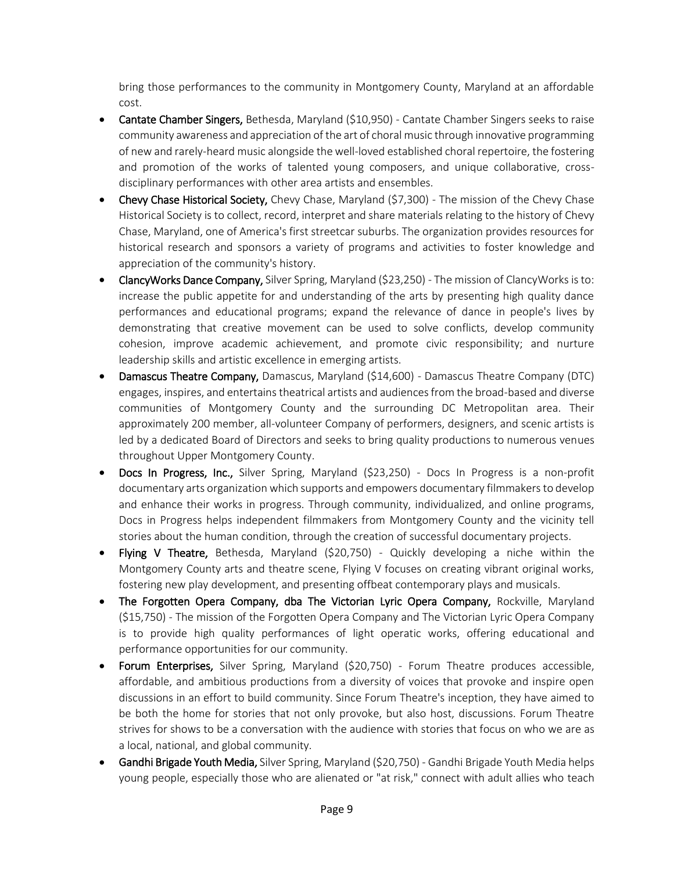bring those performances to the community in Montgomery County, Maryland at an affordable cost.

- Cantate Chamber Singers, Bethesda, Maryland (\$10,950) Cantate Chamber Singers seeks to raise community awareness and appreciation of the art of choral music through innovative programming of new and rarely-heard music alongside the well-loved established choral repertoire, the fostering and promotion of the works of talented young composers, and unique collaborative, crossdisciplinary performances with other area artists and ensembles.
- Chevy Chase Historical Society, Chevy Chase, Maryland (\$7,300) The mission of the Chevy Chase Historical Society is to collect, record, interpret and share materials relating to the history of Chevy Chase, Maryland, one of America's first streetcar suburbs. The organization provides resources for historical research and sponsors a variety of programs and activities to foster knowledge and appreciation of the community's history.
- ClancyWorks Dance Company, Silver Spring, Maryland (\$23,250) The mission of ClancyWorks is to: increase the public appetite for and understanding of the arts by presenting high quality dance performances and educational programs; expand the relevance of dance in people's lives by demonstrating that creative movement can be used to solve conflicts, develop community cohesion, improve academic achievement, and promote civic responsibility; and nurture leadership skills and artistic excellence in emerging artists.
- Damascus Theatre Company, Damascus, Maryland (\$14,600) Damascus Theatre Company (DTC) engages, inspires, and entertains theatrical artists and audiences from the broad-based and diverse communities of Montgomery County and the surrounding DC Metropolitan area. Their approximately 200 member, all-volunteer Company of performers, designers, and scenic artists is led by a dedicated Board of Directors and seeks to bring quality productions to numerous venues throughout Upper Montgomery County.
- Docs In Progress, Inc., Silver Spring, Maryland (\$23,250) Docs In Progress is a non-profit documentary arts organization which supports and empowers documentary filmmakers to develop and enhance their works in progress. Through community, individualized, and online programs, Docs in Progress helps independent filmmakers from Montgomery County and the vicinity tell stories about the human condition, through the creation of successful documentary projects.
- Flying V Theatre, Bethesda, Maryland (\$20,750) Quickly developing a niche within the Montgomery County arts and theatre scene, Flying V focuses on creating vibrant original works, fostering new play development, and presenting offbeat contemporary plays and musicals.
- The Forgotten Opera Company, dba The Victorian Lyric Opera Company, Rockville, Maryland (\$15,750) - The mission of the Forgotten Opera Company and The Victorian Lyric Opera Company is to provide high quality performances of light operatic works, offering educational and performance opportunities for our community.
- Forum Enterprises, Silver Spring, Maryland (\$20,750) Forum Theatre produces accessible, affordable, and ambitious productions from a diversity of voices that provoke and inspire open discussions in an effort to build community. Since Forum Theatre's inception, they have aimed to be both the home for stories that not only provoke, but also host, discussions. Forum Theatre strives for shows to be a conversation with the audience with stories that focus on who we are as a local, national, and global community.
- **Gandhi Brigade Youth Media,** Silver Spring, Maryland (\$20,750) Gandhi Brigade Youth Media helps young people, especially those who are alienated or "at risk," connect with adult allies who teach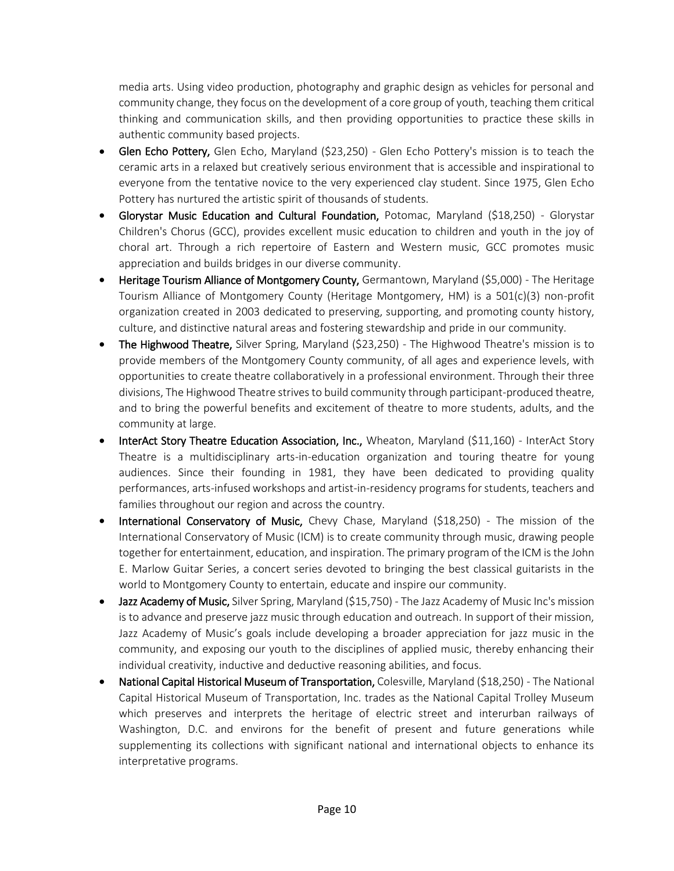media arts. Using video production, photography and graphic design as vehicles for personal and community change, they focus on the development of a core group of youth, teaching them critical thinking and communication skills, and then providing opportunities to practice these skills in authentic community based projects.

- Glen Echo Pottery, Glen Echo, Maryland (\$23,250) Glen Echo Pottery's mission is to teach the ceramic arts in a relaxed but creatively serious environment that is accessible and inspirational to everyone from the tentative novice to the very experienced clay student. Since 1975, Glen Echo Pottery has nurtured the artistic spirit of thousands of students.
- Glorystar Music Education and Cultural Foundation, Potomac, Maryland (\$18,250) Glorystar Children's Chorus (GCC), provides excellent music education to children and youth in the joy of choral art. Through a rich repertoire of Eastern and Western music, GCC promotes music appreciation and builds bridges in our diverse community.
- Heritage Tourism Alliance of Montgomery County, Germantown, Maryland (\$5,000) The Heritage Tourism Alliance of Montgomery County (Heritage Montgomery, HM) is a 501(c)(3) non-profit organization created in 2003 dedicated to preserving, supporting, and promoting county history, culture, and distinctive natural areas and fostering stewardship and pride in our community.
- The Highwood Theatre, Silver Spring, Maryland (\$23,250) The Highwood Theatre's mission is to provide members of the Montgomery County community, of all ages and experience levels, with opportunities to create theatre collaboratively in a professional environment. Through their three divisions, The Highwood Theatre strives to build community through participant-produced theatre, and to bring the powerful benefits and excitement of theatre to more students, adults, and the community at large.
- InterAct Story Theatre Education Association, Inc., Wheaton, Maryland (\$11,160) InterAct Story Theatre is a multidisciplinary arts-in-education organization and touring theatre for young audiences. Since their founding in 1981, they have been dedicated to providing quality performances, arts-infused workshops and artist-in-residency programs for students, teachers and families throughout our region and across the country.
- International Conservatory of Music, Chevy Chase, Maryland (\$18,250) The mission of the International Conservatory of Music (ICM) is to create community through music, drawing people together for entertainment, education, and inspiration. The primary program of the ICM is the John E. Marlow Guitar Series, a concert series devoted to bringing the best classical guitarists in the world to Montgomery County to entertain, educate and inspire our community.
- Jazz Academy of Music, Silver Spring, Maryland (\$15,750) The Jazz Academy of Music Inc's mission is to advance and preserve jazz music through education and outreach. In support of their mission, Jazz Academy of Music's goals include developing a broader appreciation for jazz music in the community, and exposing our youth to the disciplines of applied music, thereby enhancing their individual creativity, inductive and deductive reasoning abilities, and focus.
- National Capital Historical Museum of Transportation, Colesville, Maryland (\$18,250) The National Capital Historical Museum of Transportation, Inc. trades as the National Capital Trolley Museum which preserves and interprets the heritage of electric street and interurban railways of Washington, D.C. and environs for the benefit of present and future generations while supplementing its collections with significant national and international objects to enhance its interpretative programs.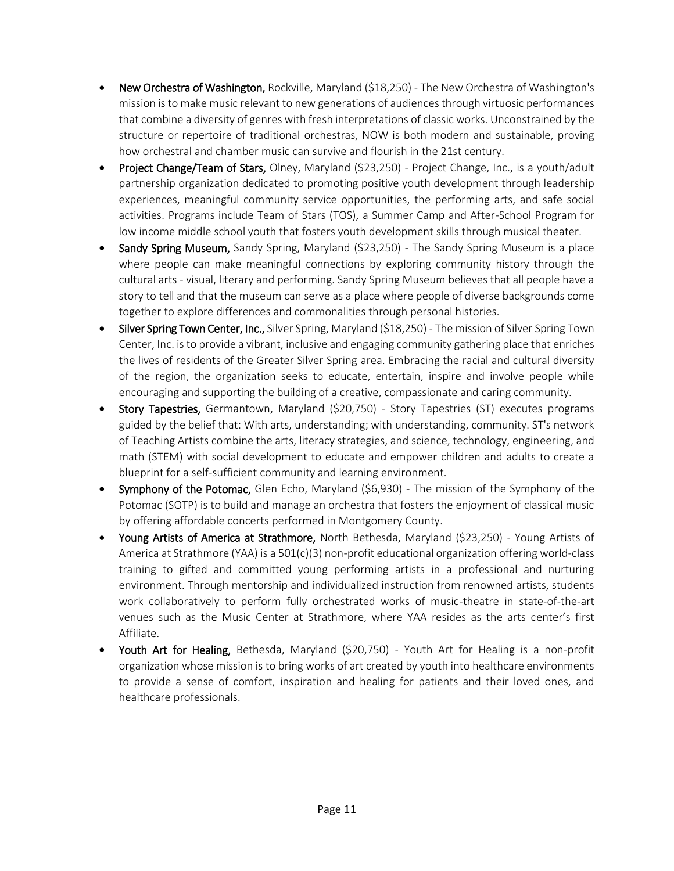- New Orchestra of Washington, Rockville, Maryland (\$18,250) The New Orchestra of Washington's mission is to make music relevant to new generations of audiences through virtuosic performances that combine a diversity of genres with fresh interpretations of classic works. Unconstrained by the structure or repertoire of traditional orchestras, NOW is both modern and sustainable, proving how orchestral and chamber music can survive and flourish in the 21st century.
- Project Change/Team of Stars, Olney, Maryland (\$23,250) Project Change, Inc., is a youth/adult partnership organization dedicated to promoting positive youth development through leadership experiences, meaningful community service opportunities, the performing arts, and safe social activities. Programs include Team of Stars (TOS), a Summer Camp and After-School Program for low income middle school youth that fosters youth development skills through musical theater.
- Sandy Spring Museum, Sandy Spring, Maryland (\$23,250) The Sandy Spring Museum is a place where people can make meaningful connections by exploring community history through the cultural arts - visual, literary and performing. Sandy Spring Museum believes that all people have a story to tell and that the museum can serve as a place where people of diverse backgrounds come together to explore differences and commonalities through personal histories.
- Silver Spring Town Center, Inc., Silver Spring, Maryland (\$18,250) The mission of Silver Spring Town Center, Inc. is to provide a vibrant, inclusive and engaging community gathering place that enriches the lives of residents of the Greater Silver Spring area. Embracing the racial and cultural diversity of the region, the organization seeks to educate, entertain, inspire and involve people while encouraging and supporting the building of a creative, compassionate and caring community.
- Story Tapestries, Germantown, Maryland (\$20,750) Story Tapestries (ST) executes programs guided by the belief that: With arts, understanding; with understanding, community. ST's network of Teaching Artists combine the arts, literacy strategies, and science, technology, engineering, and math (STEM) with social development to educate and empower children and adults to create a blueprint for a self-sufficient community and learning environment.
- Symphony of the Potomac, Glen Echo, Maryland (\$6,930) The mission of the Symphony of the Potomac (SOTP) is to build and manage an orchestra that fosters the enjoyment of classical music by offering affordable concerts performed in Montgomery County.
- Young Artists of America at Strathmore, North Bethesda, Maryland (\$23,250) Young Artists of America at Strathmore (YAA) is a 501(c)(3) non-profit educational organization offering world-class training to gifted and committed young performing artists in a professional and nurturing environment. Through mentorship and individualized instruction from renowned artists, students work collaboratively to perform fully orchestrated works of music-theatre in state-of-the-art venues such as the Music Center at Strathmore, where YAA resides as the arts center's first Affiliate.
- Youth Art for Healing, Bethesda, Maryland (\$20,750) Youth Art for Healing is a non-profit organization whose mission is to bring works of art created by youth into healthcare environments to provide a sense of comfort, inspiration and healing for patients and their loved ones, and healthcare professionals.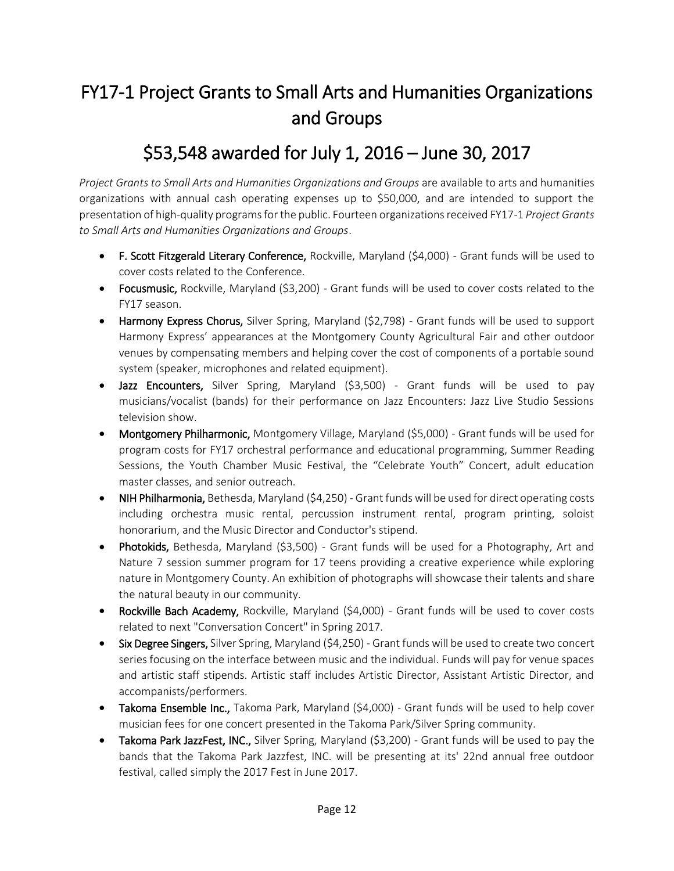## FY17-1 Project Grants to Small Arts and Humanities Organizations and Groups

#### \$53,548 awarded for July 1, 2016 – June 30, 2017

*Project Grants to Small Arts and Humanities Organizations and Groups* are available to arts and humanities organizations with annual cash operating expenses up to \$50,000, and are intended to support the presentation of high-quality programs for the public. Fourteen organizations received FY17-1 *Project Grants to Small Arts and Humanities Organizations and Groups*.

- F. Scott Fitzgerald Literary Conference, Rockville, Maryland (\$4,000) Grant funds will be used to cover costs related to the Conference.
- Focusmusic, Rockville, Maryland (\$3,200) Grant funds will be used to cover costs related to the FY17 season.
- Harmony Express Chorus, Silver Spring, Maryland (\$2,798) Grant funds will be used to support Harmony Express' appearances at the Montgomery County Agricultural Fair and other outdoor venues by compensating members and helping cover the cost of components of a portable sound system (speaker, microphones and related equipment).
- Jazz Encounters, Silver Spring, Maryland (\$3,500) Grant funds will be used to pay musicians/vocalist (bands) for their performance on Jazz Encounters: Jazz Live Studio Sessions television show.
- Montgomery Philharmonic, Montgomery Village, Maryland (\$5,000) Grant funds will be used for program costs for FY17 orchestral performance and educational programming, Summer Reading Sessions, the Youth Chamber Music Festival, the "Celebrate Youth" Concert, adult education master classes, and senior outreach.
- NIH Philharmonia, Bethesda, Maryland (\$4,250) Grant funds will be used for direct operating costs including orchestra music rental, percussion instrument rental, program printing, soloist honorarium, and the Music Director and Conductor's stipend.
- Photokids, Bethesda, Maryland (\$3,500) Grant funds will be used for a Photography, Art and Nature 7 session summer program for 17 teens providing a creative experience while exploring nature in Montgomery County. An exhibition of photographs will showcase their talents and share the natural beauty in our community.
- Rockville Bach Academy, Rockville, Maryland (\$4,000) Grant funds will be used to cover costs related to next "Conversation Concert" in Spring 2017.
- Six Degree Singers, Silver Spring, Maryland (\$4,250) Grant funds will be used to create two concert series focusing on the interface between music and the individual. Funds will pay for venue spaces and artistic staff stipends. Artistic staff includes Artistic Director, Assistant Artistic Director, and accompanists/performers.
- Takoma Ensemble Inc., Takoma Park, Maryland (\$4,000) Grant funds will be used to help cover musician fees for one concert presented in the Takoma Park/Silver Spring community.
- Takoma Park JazzFest, INC., Silver Spring, Maryland (\$3,200) Grant funds will be used to pay the bands that the Takoma Park Jazzfest, INC. will be presenting at its' 22nd annual free outdoor festival, called simply the 2017 Fest in June 2017.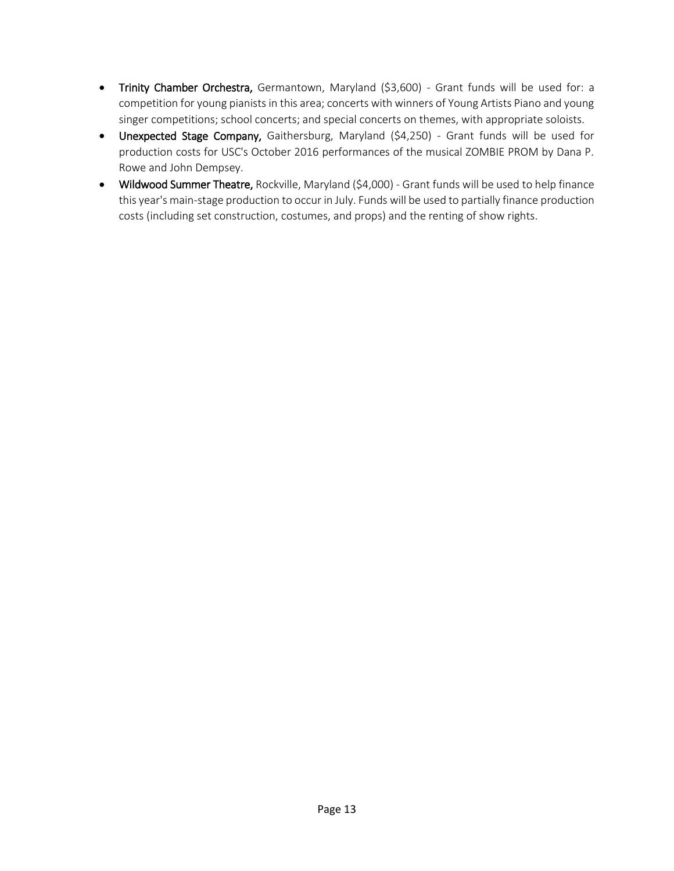- Trinity Chamber Orchestra, Germantown, Maryland (\$3,600) Grant funds will be used for: a competition for young pianists in this area; concerts with winners of Young Artists Piano and young singer competitions; school concerts; and special concerts on themes, with appropriate soloists.
- Unexpected Stage Company, Gaithersburg, Maryland (\$4,250) Grant funds will be used for production costs for USC's October 2016 performances of the musical ZOMBIE PROM by Dana P. Rowe and John Dempsey.
- Wildwood Summer Theatre, Rockville, Maryland (\$4,000) Grant funds will be used to help finance this year's main-stage production to occur in July. Funds will be used to partially finance production costs (including set construction, costumes, and props) and the renting of show rights.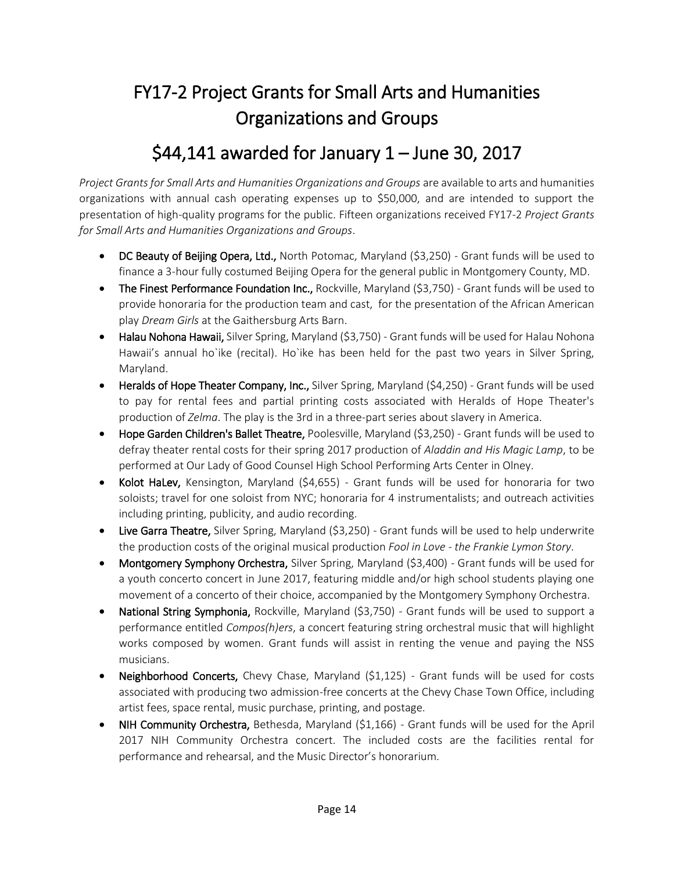## FY17-2 Project Grants for Small Arts and Humanities Organizations and Groups

#### \$44,141 awarded for January 1 – June 30, 2017

*Project Grants for Small Arts and Humanities Organizations and Groups* are available to arts and humanities organizations with annual cash operating expenses up to \$50,000, and are intended to support the presentation of high-quality programs for the public. Fifteen organizations received FY17-2 *Project Grants for Small Arts and Humanities Organizations and Groups*.

- DC Beauty of Beijing Opera, Ltd., North Potomac, Maryland (\$3,250) Grant funds will be used to finance a 3-hour fully costumed Beijing Opera for the general public in Montgomery County, MD.
- The Finest Performance Foundation Inc., Rockville, Maryland (\$3,750) Grant funds will be used to provide honoraria for the production team and cast, for the presentation of the African American play *Dream Girls* at the Gaithersburg Arts Barn.
- Halau Nohona Hawaii, Silver Spring, Maryland (\$3,750) Grant funds will be used for Halau Nohona Hawaii's annual ho`ike (recital). Ho`ike has been held for the past two years in Silver Spring, Maryland.
- Heralds of Hope Theater Company, Inc., Silver Spring, Maryland (\$4,250) Grant funds will be used to pay for rental fees and partial printing costs associated with Heralds of Hope Theater's production of *Zelma*. The play is the 3rd in a three-part series about slavery in America.
- Hope Garden Children's Ballet Theatre, Poolesville, Maryland (\$3,250) Grant funds will be used to defray theater rental costs for their spring 2017 production of *Aladdin and His Magic Lamp*, to be performed at Our Lady of Good Counsel High School Performing Arts Center in Olney.
- Kolot HaLev, Kensington, Maryland (\$4,655) Grant funds will be used for honoraria for two soloists; travel for one soloist from NYC; honoraria for 4 instrumentalists; and outreach activities including printing, publicity, and audio recording.
- Live Garra Theatre, Silver Spring, Maryland (\$3,250) Grant funds will be used to help underwrite the production costs of the original musical production *Fool in Love - the Frankie Lymon Story*.
- Montgomery Symphony Orchestra, Silver Spring, Maryland (\$3,400) Grant funds will be used for a youth concerto concert in June 2017, featuring middle and/or high school students playing one movement of a concerto of their choice, accompanied by the Montgomery Symphony Orchestra.
- National String Symphonia, Rockville, Maryland (\$3,750) Grant funds will be used to support a performance entitled *Compos(h)ers*, a concert featuring string orchestral music that will highlight works composed by women. Grant funds will assist in renting the venue and paying the NSS musicians.
- Neighborhood Concerts, Chevy Chase, Maryland (\$1,125) Grant funds will be used for costs associated with producing two admission-free concerts at the Chevy Chase Town Office, including artist fees, space rental, music purchase, printing, and postage.
- NIH Community Orchestra, Bethesda, Maryland (\$1,166) Grant funds will be used for the April 2017 NIH Community Orchestra concert. The included costs are the facilities rental for performance and rehearsal, and the Music Director's honorarium.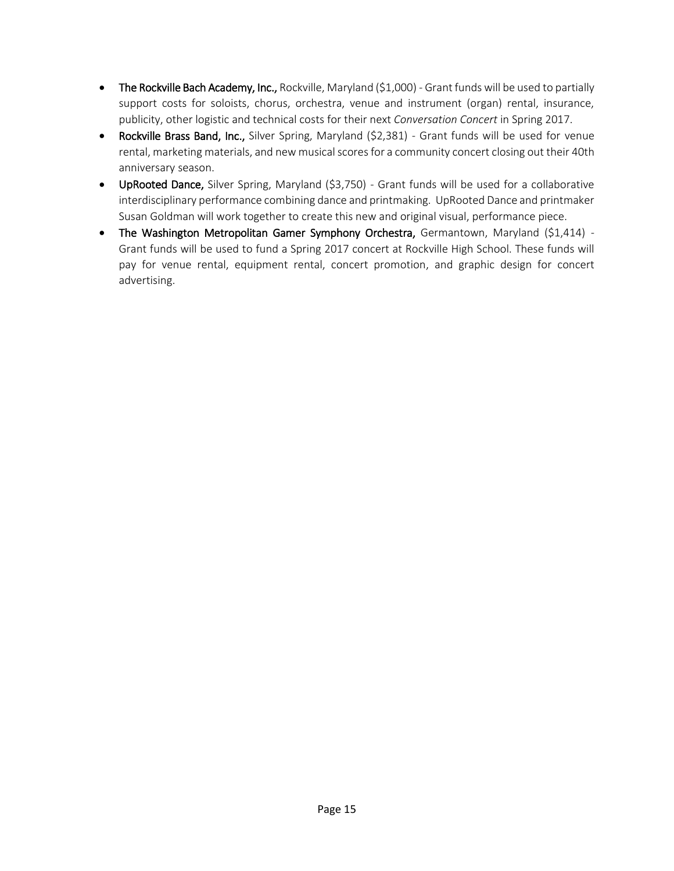- The Rockville Bach Academy, Inc., Rockville, Maryland (\$1,000) Grant funds will be used to partially support costs for soloists, chorus, orchestra, venue and instrument (organ) rental, insurance, publicity, other logistic and technical costs for their next *Conversation Concert* in Spring 2017.
- Rockville Brass Band, Inc., Silver Spring, Maryland (\$2,381) Grant funds will be used for venue rental, marketing materials, and new musical scores for a community concert closing out their 40th anniversary season.
- UpRooted Dance, Silver Spring, Maryland (\$3,750) Grant funds will be used for a collaborative interdisciplinary performance combining dance and printmaking. UpRooted Dance and printmaker Susan Goldman will work together to create this new and original visual, performance piece.
- The Washington Metropolitan Gamer Symphony Orchestra, Germantown, Maryland (\$1,414) -Grant funds will be used to fund a Spring 2017 concert at Rockville High School. These funds will pay for venue rental, equipment rental, concert promotion, and graphic design for concert advertising.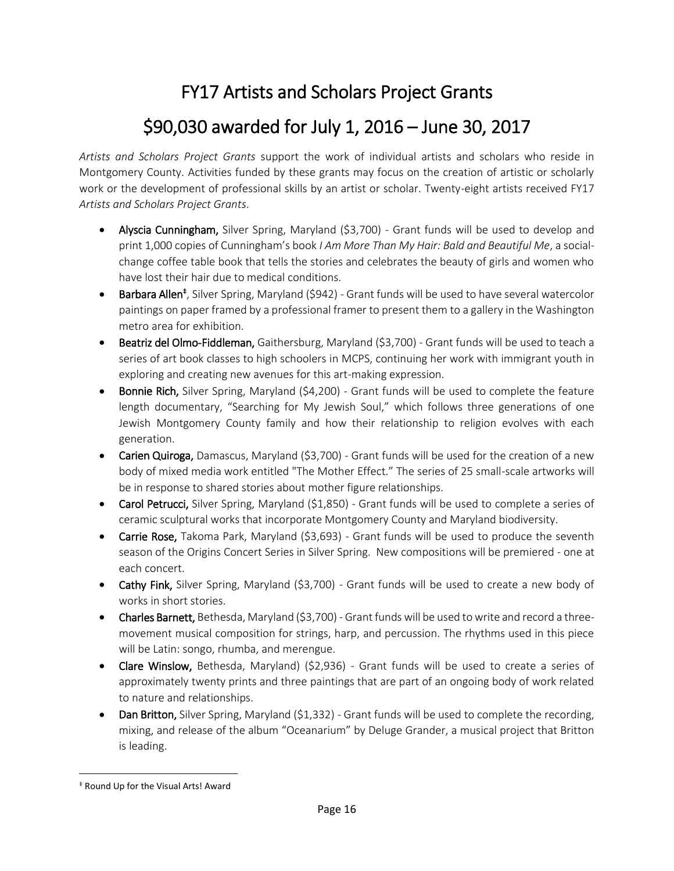#### FY17 Artists and Scholars Project Grants

## \$90,030 awarded for July 1, 2016 – June 30, 2017

*Artists and Scholars Project Grants* support the work of individual artists and scholars who reside in Montgomery County. Activities funded by these grants may focus on the creation of artistic or scholarly work or the development of professional skills by an artist or scholar. Twenty-eight artists received FY17 *Artists and Scholars Project Grants*.

- Alyscia Cunningham, Silver Spring, Maryland (\$3,700) Grant funds will be used to develop and print 1,000 copies of Cunningham's book *I Am More Than My Hair: Bald and Beautiful Me*, a socialchange coffee table book that tells the stories and celebrates the beauty of girls and women who have lost their hair due to medical conditions.
- Barbara Allen<sup>‡</sup>, Silver Spring, Maryland (\$942) Grant funds will be used to have several watercolor paintings on paper framed by a professional framer to present them to a gallery in the Washington metro area for exhibition.
- Beatriz del Olmo-Fiddleman, Gaithersburg, Maryland (\$3,700) Grant funds will be used to teach a series of art book classes to high schoolers in MCPS, continuing her work with immigrant youth in exploring and creating new avenues for this art-making expression.
- **Bonnie Rich,** Silver Spring, Maryland (\$4,200) Grant funds will be used to complete the feature length documentary, "Searching for My Jewish Soul," which follows three generations of one Jewish Montgomery County family and how their relationship to religion evolves with each generation.
- Carien Quiroga, Damascus, Maryland (\$3,700) Grant funds will be used for the creation of a new body of mixed media work entitled "The Mother Effect." The series of 25 small-scale artworks will be in response to shared stories about mother figure relationships.
- Carol Petrucci, Silver Spring, Maryland (\$1,850) Grant funds will be used to complete a series of ceramic sculptural works that incorporate Montgomery County and Maryland biodiversity.
- Carrie Rose, Takoma Park, Maryland (\$3,693) Grant funds will be used to produce the seventh season of the Origins Concert Series in Silver Spring. New compositions will be premiered - one at each concert.
- Cathy Fink, Silver Spring, Maryland (\$3,700) Grant funds will be used to create a new body of works in short stories.
- Charles Barnett, Bethesda, Maryland (\$3,700) Grant funds will be used to write and record a threemovement musical composition for strings, harp, and percussion. The rhythms used in this piece will be Latin: songo, rhumba, and merengue.
- Clare Winslow, Bethesda, Maryland) (\$2,936) Grant funds will be used to create a series of approximately twenty prints and three paintings that are part of an ongoing body of work related to nature and relationships.
- Dan Britton, Silver Spring, Maryland (\$1,332) Grant funds will be used to complete the recording, mixing, and release of the album "Oceanarium" by Deluge Grander, a musical project that Britton is leading.

 $\overline{a}$ 

<sup>‡</sup> Round Up for the Visual Arts! Award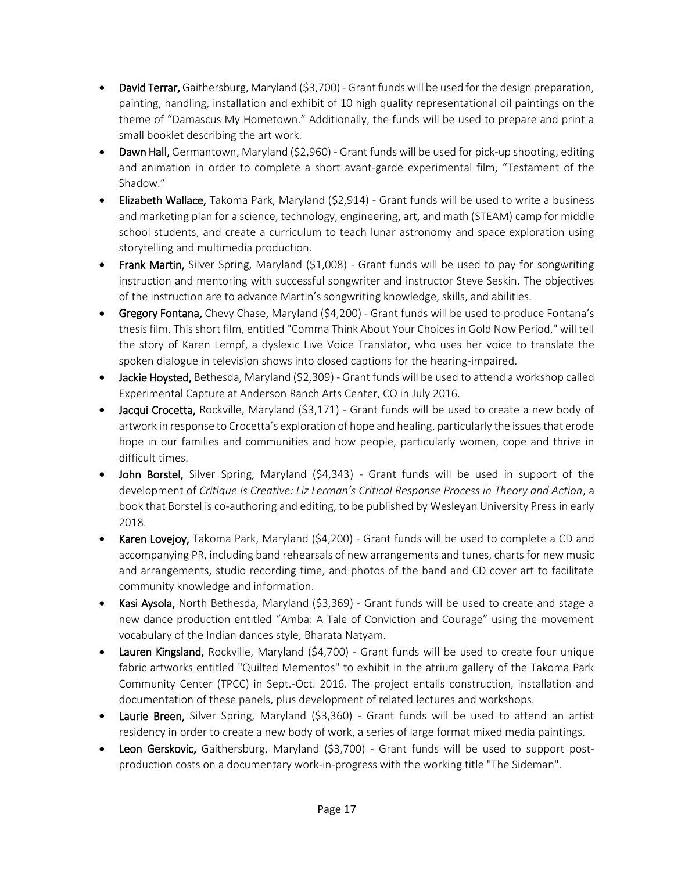- David Terrar, Gaithersburg, Maryland (\$3,700) Grant funds will be used for the design preparation, painting, handling, installation and exhibit of 10 high quality representational oil paintings on the theme of "Damascus My Hometown." Additionally, the funds will be used to prepare and print a small booklet describing the art work.
- Dawn Hall, Germantown, Maryland (\$2,960) Grant funds will be used for pick-up shooting, editing and animation in order to complete a short avant-garde experimental film, "Testament of the Shadow."
- Elizabeth Wallace, Takoma Park, Maryland (\$2,914) Grant funds will be used to write a business and marketing plan for a science, technology, engineering, art, and math (STEAM) camp for middle school students, and create a curriculum to teach lunar astronomy and space exploration using storytelling and multimedia production.
- Frank Martin, Silver Spring, Maryland (\$1,008) Grant funds will be used to pay for songwriting instruction and mentoring with successful songwriter and instructor Steve Seskin. The objectives of the instruction are to advance Martin's songwriting knowledge, skills, and abilities.
- Gregory Fontana, Chevy Chase, Maryland (\$4,200) Grant funds will be used to produce Fontana's thesis film. This short film, entitled "Comma Think About Your Choices in Gold Now Period," will tell the story of Karen Lempf, a dyslexic Live Voice Translator, who uses her voice to translate the spoken dialogue in television shows into closed captions for the hearing-impaired.
- $\bullet$  Jackie Hoysted, Bethesda, Maryland (\$2,309) Grant funds will be used to attend a workshop called Experimental Capture at Anderson Ranch Arts Center, CO in July 2016.
- Jacqui Crocetta, Rockville, Maryland (\$3,171) Grant funds will be used to create a new body of artwork in response to Crocetta's exploration of hope and healing, particularly the issues that erode hope in our families and communities and how people, particularly women, cope and thrive in difficult times.
- John Borstel, Silver Spring, Maryland (\$4,343) Grant funds will be used in support of the development of *Critique Is Creative: Liz Lerman's Critical Response Process in Theory and Action*, a book that Borstel is co-authoring and editing, to be published by Wesleyan University Press in early 2018.
- Karen Lovejoy, Takoma Park, Maryland (\$4,200) Grant funds will be used to complete a CD and accompanying PR, including band rehearsals of new arrangements and tunes, charts for new music and arrangements, studio recording time, and photos of the band and CD cover art to facilitate community knowledge and information.
- Kasi Aysola, North Bethesda, Maryland (\$3,369) Grant funds will be used to create and stage a new dance production entitled "Amba: A Tale of Conviction and Courage" using the movement vocabulary of the Indian dances style, Bharata Natyam.
- Lauren Kingsland, Rockville, Maryland (\$4,700) Grant funds will be used to create four unique fabric artworks entitled "Quilted Mementos" to exhibit in the atrium gallery of the Takoma Park Community Center (TPCC) in Sept.-Oct. 2016. The project entails construction, installation and documentation of these panels, plus development of related lectures and workshops.
- Laurie Breen, Silver Spring, Maryland (\$3,360) Grant funds will be used to attend an artist residency in order to create a new body of work, a series of large format mixed media paintings.
- Leon Gerskovic, Gaithersburg, Maryland (\$3,700) Grant funds will be used to support postproduction costs on a documentary work-in-progress with the working title "The Sideman".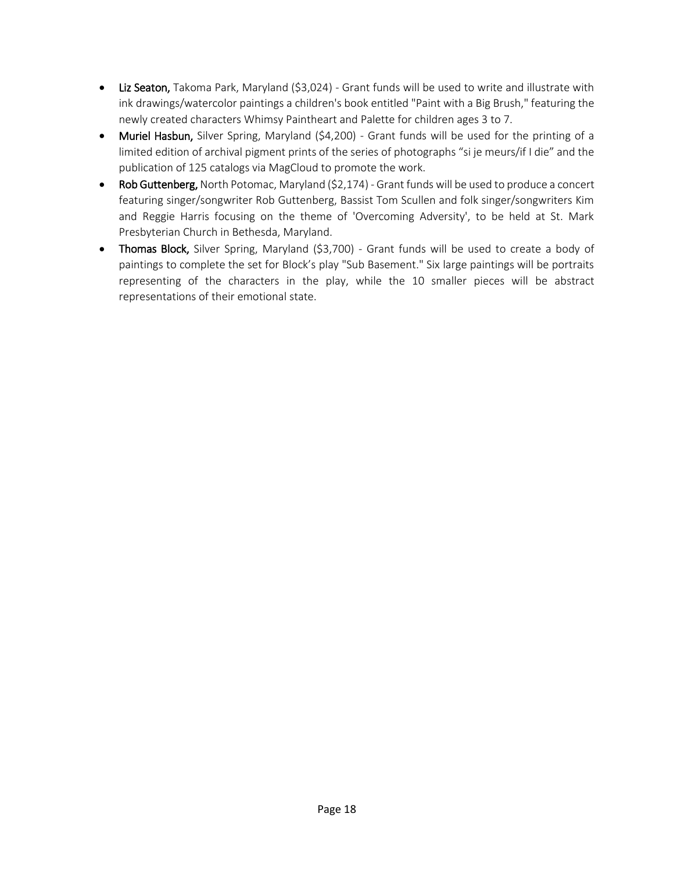- Liz Seaton, Takoma Park, Maryland (\$3,024) Grant funds will be used to write and illustrate with ink drawings/watercolor paintings a children's book entitled "Paint with a Big Brush," featuring the newly created characters Whimsy Paintheart and Palette for children ages 3 to 7.
- Muriel Hasbun, Silver Spring, Maryland (\$4,200) Grant funds will be used for the printing of a limited edition of archival pigment prints of the series of photographs "si je meurs/if I die" and the publication of 125 catalogs via MagCloud to promote the work.
- Rob Guttenberg, North Potomac, Maryland (\$2,174) Grant funds will be used to produce a concert featuring singer/songwriter Rob Guttenberg, Bassist Tom Scullen and folk singer/songwriters Kim and Reggie Harris focusing on the theme of 'Overcoming Adversity', to be held at St. Mark Presbyterian Church in Bethesda, Maryland.
- Thomas Block, Silver Spring, Maryland (\$3,700) Grant funds will be used to create a body of paintings to complete the set for Block's play "Sub Basement." Six large paintings will be portraits representing of the characters in the play, while the 10 smaller pieces will be abstract representations of their emotional state.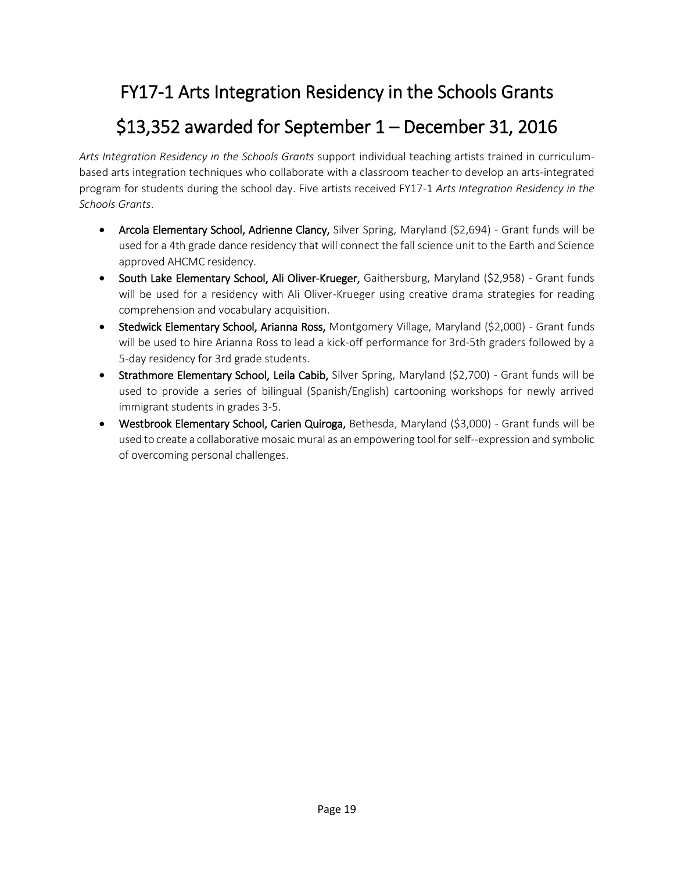#### FY17-1 Arts Integration Residency in the Schools Grants

#### \$13,352 awarded for September 1 – December 31, 2016

*Arts Integration Residency in the Schools Grants* support individual teaching artists trained in curriculumbased arts integration techniques who collaborate with a classroom teacher to develop an arts-integrated program for students during the school day. Five artists received FY17-1 *Arts Integration Residency in the Schools Grants*.

- Arcola Elementary School, Adrienne Clancy, Silver Spring, Maryland (\$2,694) Grant funds will be used for a 4th grade dance residency that will connect the fall science unit to the Earth and Science approved AHCMC residency.
- South Lake Elementary School, Ali Oliver-Krueger, Gaithersburg, Maryland (\$2,958) Grant funds will be used for a residency with Ali Oliver-Krueger using creative drama strategies for reading comprehension and vocabulary acquisition.
- Stedwick Elementary School, Arianna Ross, Montgomery Village, Maryland (\$2,000) Grant funds will be used to hire Arianna Ross to lead a kick-off performance for 3rd-5th graders followed by a 5-day residency for 3rd grade students.
- Strathmore Elementary School, Leila Cabib, Silver Spring, Maryland (\$2,700) Grant funds will be used to provide a series of bilingual (Spanish/English) cartooning workshops for newly arrived immigrant students in grades 3-5.
- Westbrook Elementary School, Carien Quiroga, Bethesda, Maryland (\$3,000) Grant funds will be used to create a collaborative mosaic mural as an empowering tool for self--expression and symbolic of overcoming personal challenges.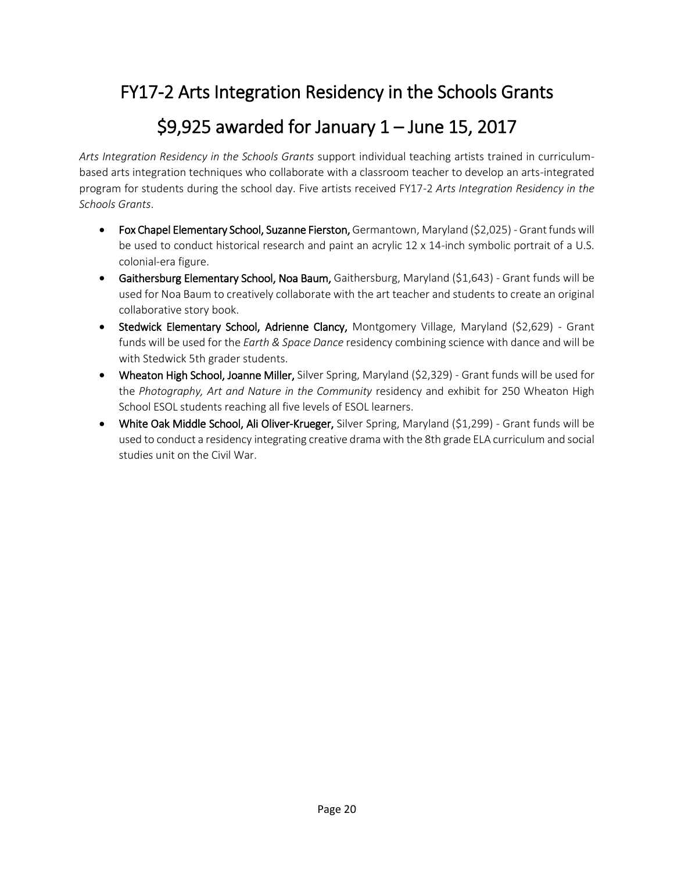#### FY17-2 Arts Integration Residency in the Schools Grants

#### \$9,925 awarded for January 1 – June 15, 2017

*Arts Integration Residency in the Schools Grants* support individual teaching artists trained in curriculumbased arts integration techniques who collaborate with a classroom teacher to develop an arts-integrated program for students during the school day. Five artists received FY17-2 *Arts Integration Residency in the Schools Grants*.

- Fox Chapel Elementary School, Suzanne Fierston, Germantown, Maryland (\$2,025) Grant funds will be used to conduct historical research and paint an acrylic 12 x 14-inch symbolic portrait of a U.S. colonial-era figure.
- Gaithersburg Elementary School, Noa Baum, Gaithersburg, Maryland (\$1,643) Grant funds will be used for Noa Baum to creatively collaborate with the art teacher and students to create an original collaborative story book.
- Stedwick Elementary School, Adrienne Clancy, Montgomery Village, Maryland (\$2,629) Grant funds will be used for the *Earth & Space Dance* residency combining science with dance and will be with Stedwick 5th grader students.
- Wheaton High School, Joanne Miller, Silver Spring, Maryland (\$2,329) Grant funds will be used for the *Photography, Art and Nature in the Community* residency and exhibit for 250 Wheaton High School ESOL students reaching all five levels of ESOL learners.
- White Oak Middle School, Ali Oliver-Krueger, Silver Spring, Maryland (\$1,299) Grant funds will be used to conduct a residency integrating creative drama with the 8th grade ELA curriculum and social studies unit on the Civil War.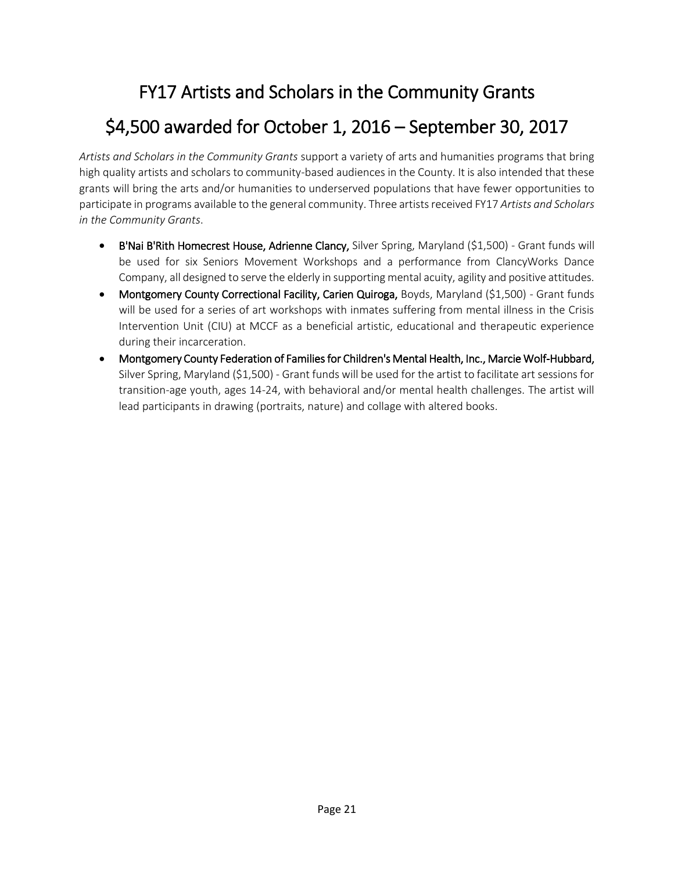## FY17 Artists and Scholars in the Community Grants

## \$4,500 awarded for October 1, 2016 – September 30, 2017

*Artists and Scholars in the Community Grants* support a variety of arts and humanities programs that bring high quality artists and scholars to community-based audiences in the County. It is also intended that these grants will bring the arts and/or humanities to underserved populations that have fewer opportunities to participate in programs available to the general community. Three artists received FY17 *Artists and Scholars in the Community Grants*.

- B'Nai B'Rith Homecrest House, Adrienne Clancy, Silver Spring, Maryland (\$1,500) Grant funds will be used for six Seniors Movement Workshops and a performance from ClancyWorks Dance Company, all designed to serve the elderly in supporting mental acuity, agility and positive attitudes.
- Montgomery County Correctional Facility, Carien Quiroga, Boyds, Maryland (\$1,500) Grant funds will be used for a series of art workshops with inmates suffering from mental illness in the Crisis Intervention Unit (CIU) at MCCF as a beneficial artistic, educational and therapeutic experience during their incarceration.
- Montgomery County Federation of Families for Children's Mental Health, Inc., Marcie Wolf-Hubbard, Silver Spring, Maryland (\$1,500) - Grant funds will be used for the artist to facilitate art sessions for transition-age youth, ages 14-24, with behavioral and/or mental health challenges. The artist will lead participants in drawing (portraits, nature) and collage with altered books.